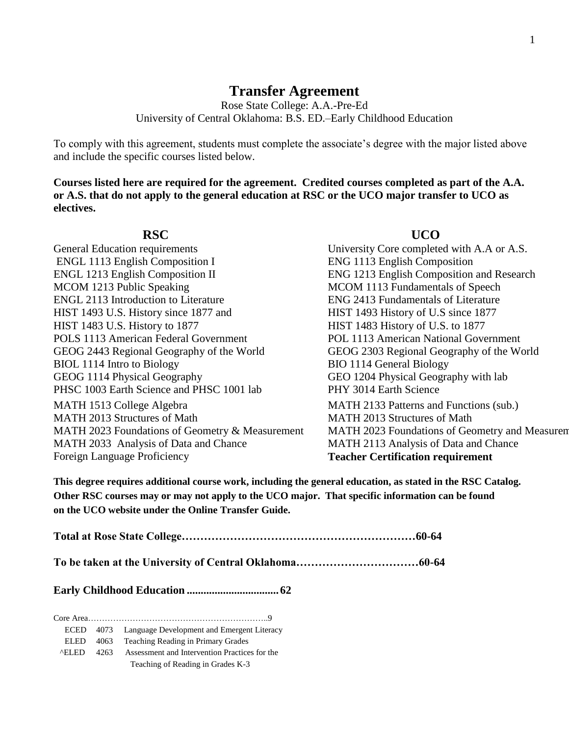# **Transfer Agreement**

Rose State College: A.A.-Pre-Ed University of Central Oklahoma: B.S. ED.–Early Childhood Education

To comply with this agreement, students must complete the associate's degree with the major listed above and include the specific courses listed below.

**Courses listed here are required for the agreement. Credited courses completed as part of the A.A. or A.S. that do not apply to the general education at RSC or the UCO major transfer to UCO as electives.**

**RSC UCO**  General Education requirements University Core completed with A.A or A.S. ENGL 1113 English Composition I ENG 1113 English Composition ENGL 1213 English Composition II ENG 1213 English Composition and Research MCOM 1213 Public Speaking MCOM 1113 Fundamentals of Speech ENGL 2113 Introduction to Literature ENG 2413 Fundamentals of Literature HIST 1493 U.S. History since 1877 and HIST 1493 History of U.S since 1877 HIST 1483 U.S. History to 1877 HIST 1483 History of U.S. to 1877 POLS 1113 American Federal Government POL 1113 American National Government GEOG 2443 Regional Geography of the World GEOG 2303 Regional Geography of the World BIOL 1114 Intro to Biology BIO 1114 General Biology GEOG 1114 Physical Geography GEO 1204 Physical Geography with lab PHSC 1003 Earth Science and PHSC 1001 lab PHY 3014 Earth Science MATH 1513 College Algebra MATH 2133 Patterns and Functions (sub.) MATH 2013 Structures of Math MATH 2013 Structures of Math MATH 2023 Foundations of Geometry & Measurement MATH 2023 Foundations of Geometry and Measuren MATH 2033 Analysis of Data and Chance MATH 2113 Analysis of Data and Chance Foreign Language Proficiency **Teacher Certification requirement**

**This degree requires additional course work, including the general education, as stated in the RSC Catalog. Other RSC courses may or may not apply to the UCO major. That specific information can be found on the UCO website under the Online Transfer Guide.**

**Total at Rose State College………………………………………………………60-64**

**To be taken at the University of Central Oklahoma……………………………60-64**

**Early Childhood Education ................................. 62**

Core Area………………………………………………………..9 ECED 4073 Language Development and Emergent Literacy ELED 4063 Teaching Reading in Primary Grades ^ELED 4263 Assessment and Intervention Practices for the Teaching of Reading in Grades K-3